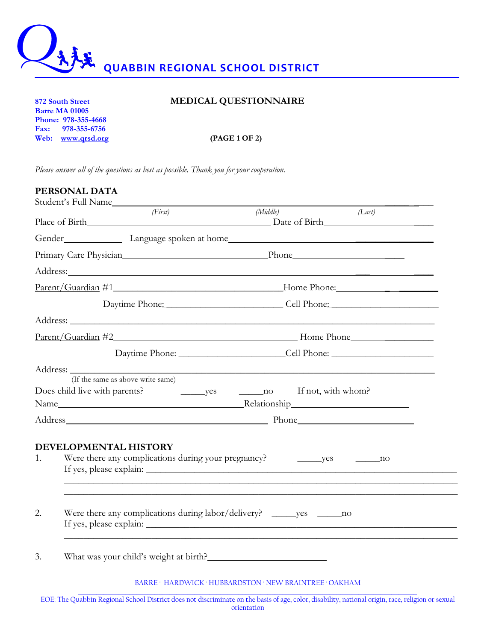

## **872 South Street MEDICAL QUESTIONNAIRE**

**Barre MA 01005 Phone: 978-355-4668 Fax: 978-355-6756 Web: www.qrsd.org (PAGE 1 OF 2)**

*Please answer all of the questions as best as possible. Thank you for your cooperation.*

|    | PERSONAL DATA                                                              |                                                                                   |        |
|----|----------------------------------------------------------------------------|-----------------------------------------------------------------------------------|--------|
|    | Student's Full Name                                                        |                                                                                   |        |
|    | (First)<br>Place of Birth Date of Birth Date of Birth                      | (Middle)                                                                          | (Last) |
|    |                                                                            |                                                                                   |        |
|    | Primary Care Physician and The Phone Phone Phone Phone 2014                |                                                                                   |        |
|    |                                                                            |                                                                                   |        |
|    |                                                                            |                                                                                   |        |
|    |                                                                            | Daytime Phone: Cell Phone:                                                        |        |
|    |                                                                            |                                                                                   |        |
|    |                                                                            |                                                                                   |        |
|    |                                                                            | Daytime Phone: _________________________________Cell Phone: _____________________ |        |
|    | (If the same as above write same)<br>Does child live with parents?         |                                                                                   |        |
|    |                                                                            |                                                                                   |        |
|    | DEVELOPMENTAL HISTORY                                                      |                                                                                   |        |
| 1. |                                                                            | ,我们也不能在这里的时候,我们也不能在这里的时候,我们也不能不能不能不能不能不能不能不能不能不能不能不能不能不能不能。""我们的是,我们也不能不能不能不能不能不能 |        |
| 2. | Were there any complications during labor/delivery? _______ yes _______ no |                                                                                   |        |
| 3. | What was your child's weight at birth?                                     |                                                                                   |        |
|    |                                                                            | <b>DIDDE</b> HIDDITCH HUDDID OF OUR HELLIND INTERFER OUTLING                      |        |

BARRE · HARDWICK · HUBBARDSTON · NEW BRAINTREE · OAKHAM

\_\_\_\_\_\_\_\_\_\_\_\_\_\_\_\_\_\_\_\_\_\_\_\_\_\_\_\_\_\_\_\_\_\_\_\_\_\_\_\_\_\_\_\_\_\_\_\_\_\_\_\_\_\_\_\_\_\_\_\_\_\_\_\_\_\_\_\_\_\_\_\_\_\_\_\_\_\_\_\_\_\_\_\_\_\_\_\_\_\_\_\_\_ EOE: The Quabbin Regional School District does not discriminate on the basis of age, color, disability, national origin, race, religion or sexual orientation